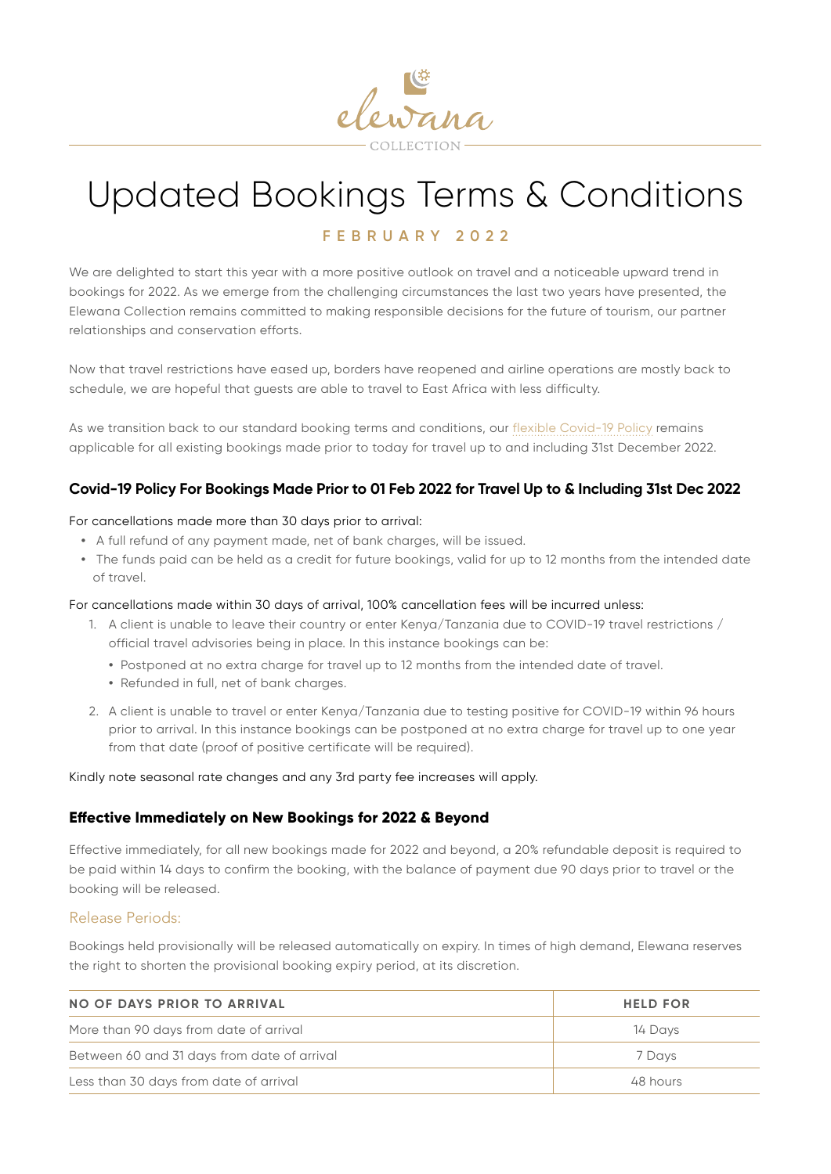

# Updated Bookings Terms & Conditions

# **FEBRUARY 2022**

We are delighted to start this year with a more positive outlook on travel and a noticeable upward trend in bookings for 2022. As we emerge from the challenging circumstances the last two years have presented, the Elewana Collection remains committed to making responsible decisions for the future of tourism, our partner relationships and conservation efforts.

Now that travel restrictions have eased up, borders have reopened and airline operations are mostly back to schedule, we are hopeful that guests are able to travel to East Africa with less difficulty.

As we transition back to our standard booking terms and conditions, our [flexible Covid-19 Policy](https://www.elewanacollection.com/covid-19/covid-19-policy) remains applicable for all existing bookings made prior to today for travel up to and including 31st December 2022.

# **Covid-19 Policy For Bookings Made Prior to 01 Feb 2022 for Travel Up to & Including 31st Dec 2022**

#### For cancellations made more than 30 days prior to arrival:

- **•** A full refund of any payment made, net of bank charges, will be issued.
- **•** The funds paid can be held as a credit for future bookings, valid for up to 12 months from the intended date of travel.

#### For cancellations made within 30 days of arrival, 100% cancellation fees will be incurred unless:

- 1. A client is unable to leave their country or enter Kenya/Tanzania due to COVID-19 travel restrictions / official travel advisories being in place. In this instance bookings can be:
	- **•** Postponed at no extra charge for travel up to 12 months from the intended date of travel.
	- **•** Refunded in full, net of bank charges.
- 2. A client is unable to travel or enter Kenya/Tanzania due to testing positive for COVID-19 within 96 hours prior to arrival. In this instance bookings can be postponed at no extra charge for travel up to one year from that date (proof of positive certificate will be required).

Kindly note seasonal rate changes and any 3rd party fee increases will apply.

#### **Effective Immediately on New Bookings for 2022 & Beyond**

Effective immediately, for all new bookings made for 2022 and beyond, a 20% refundable deposit is required to be paid within 14 days to confirm the booking, with the balance of payment due 90 days prior to travel or the booking will be released.

#### Release Periods:

Bookings held provisionally will be released automatically on expiry. In times of high demand, Elewana reserves the right to shorten the provisional booking expiry period, at its discretion.

| NO OF DAYS PRIOR TO ARRIVAL                 | <b>HELD FOR</b> |
|---------------------------------------------|-----------------|
| More than 90 days from date of arrival      | 14 Days         |
| Between 60 and 31 days from date of arrival | 7 Davs          |
| Less than 30 days from date of arrival      | 48 hours        |